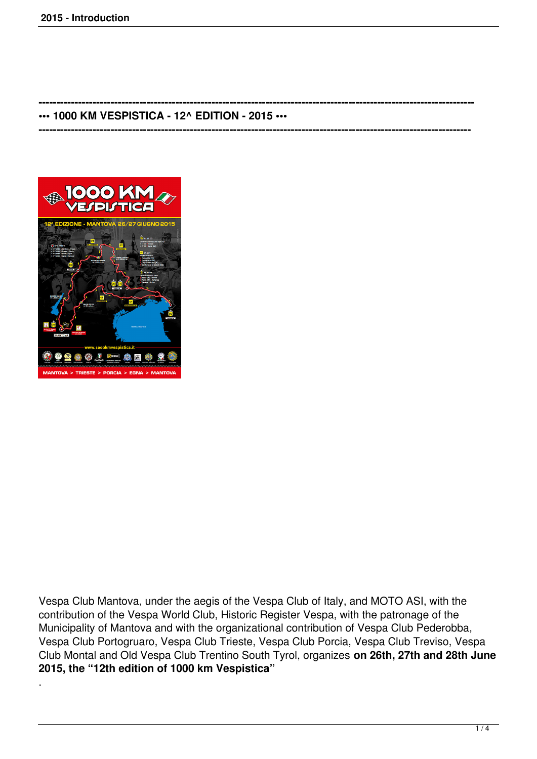## **••• 1000 KM VESPISTICA - 12^ EDITION - 2015 •••**

**------------------------------------------------------------------------------------------------------------------------**

**-------------------------------------------------------------------------------------------------------------------------**



.

Vespa Club Mantova, under the aegis of the Vespa Club of Italy, and MOTO ASI, with the contribution of the Vespa World Club, Historic Register Vespa, with the patronage of the Municipality of Mantova and with the organizational contribution of Vespa Club Pederobba, Vespa Club Portogruaro, Vespa Club Trieste, Vespa Club Porcia, Vespa Club Treviso, Vespa Club Montal and Old Vespa Club Trentino South Tyrol, organizes **on 26th, 27th and 28th June 2015, the "12th edition of 1000 km Vespistica"**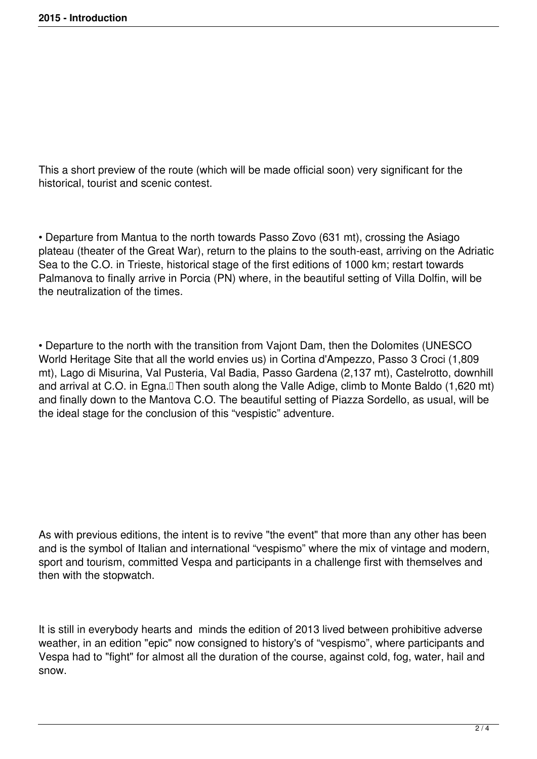This a short preview of the route (which will be made official soon) very significant for the historical, tourist and scenic contest.

• Departure from Mantua to the north towards Passo Zovo (631 mt), crossing the Asiago plateau (theater of the Great War), return to the plains to the south-east, arriving on the Adriatic Sea to the C.O. in Trieste, historical stage of the first editions of 1000 km; restart towards Palmanova to finally arrive in Porcia (PN) where, in the beautiful setting of Villa Dolfin, will be the neutralization of the times.

• Departure to the north with the transition from Vajont Dam, then the Dolomites (UNESCO World Heritage Site that all the world envies us) in Cortina d'Ampezzo, Passo 3 Croci (1,809 mt), Lago di Misurina, Val Pusteria, Val Badia, Passo Gardena (2,137 mt), Castelrotto, downhill and arrival at C.O. in Egna.<sup>[]</sup> Then south along the Valle Adige, climb to Monte Baldo (1,620 mt) and finally down to the Mantova C.O. The beautiful setting of Piazza Sordello, as usual, will be the ideal stage for the conclusion of this "vespistic" adventure.

As with previous editions, the intent is to revive "the event" that more than any other has been and is the symbol of Italian and international "vespismo" where the mix of vintage and modern, sport and tourism, committed Vespa and participants in a challenge first with themselves and then with the stopwatch.

It is still in everybody hearts and minds the edition of 2013 lived between prohibitive adverse weather, in an edition "epic" now consigned to history's of "vespismo", where participants and Vespa had to "fight" for almost all the duration of the course, against cold, fog, water, hail and snow.